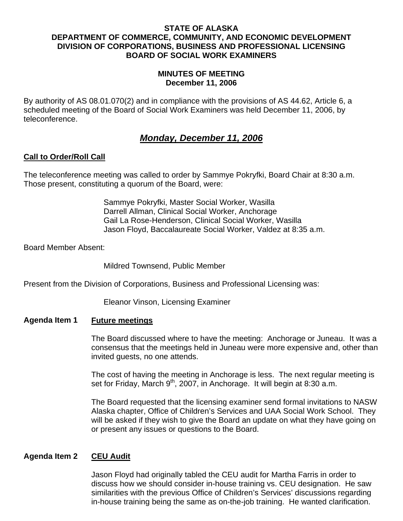## **STATE OF ALASKA DEPARTMENT OF COMMERCE, COMMUNITY, AND ECONOMIC DEVELOPMENT DIVISION OF CORPORATIONS, BUSINESS AND PROFESSIONAL LICENSING BOARD OF SOCIAL WORK EXAMINERS**

## **MINUTES OF MEETING December 11, 2006**

By authority of AS 08.01.070(2) and in compliance with the provisions of AS 44.62, Article 6, a scheduled meeting of the Board of Social Work Examiners was held December 11, 2006, by teleconference.

# *Monday, December 11, 2006*

# **Call to Order/Roll Call**

The teleconference meeting was called to order by Sammye Pokryfki, Board Chair at 8:30 a.m. Those present, constituting a quorum of the Board, were:

> Sammye Pokryfki, Master Social Worker, Wasilla Darrell Allman, Clinical Social Worker, Anchorage Gail La Rose-Henderson, Clinical Social Worker, Wasilla Jason Floyd, Baccalaureate Social Worker, Valdez at 8:35 a.m.

Board Member Absent:

Mildred Townsend, Public Member

Present from the Division of Corporations, Business and Professional Licensing was:

Eleanor Vinson, Licensing Examiner

#### **Agenda Item 1 Future meetings**

The Board discussed where to have the meeting: Anchorage or Juneau. It was a consensus that the meetings held in Juneau were more expensive and, other than invited guests, no one attends.

The cost of having the meeting in Anchorage is less. The next regular meeting is set for Friday, March  $9<sup>th</sup>$ , 2007, in Anchorage. It will begin at 8:30 a.m.

The Board requested that the licensing examiner send formal invitations to NASW Alaska chapter, Office of Children's Services and UAA Social Work School. They will be asked if they wish to give the Board an update on what they have going on or present any issues or questions to the Board.

# **Agenda Item 2 CEU Audit**

Jason Floyd had originally tabled the CEU audit for Martha Farris in order to discuss how we should consider in-house training vs. CEU designation. He saw similarities with the previous Office of Children's Services' discussions regarding in-house training being the same as on-the-job training. He wanted clarification.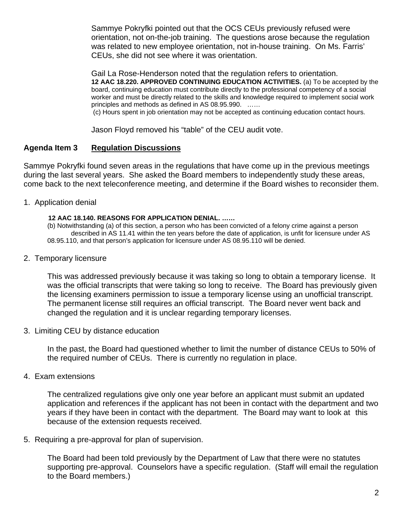Sammye Pokryfki pointed out that the OCS CEUs previously refused were orientation, not on-the-job training. The questions arose because the regulation was related to new employee orientation, not in-house training. On Ms. Farris' CEUs, she did not see where it was orientation.

Gail La Rose-Henderson noted that the regulation refers to orientation. **12 AAC 18.220. APPROVED CONTINUING EDUCATION ACTIVITIES.** (a) To be accepted by the board, continuing education must contribute directly to the professional competency of a social worker and must be directly related to the skills and knowledge required to implement social work principles and methods as defined in AS 08.95.990. ……

(c) Hours spent in job orientation may not be accepted as continuing education contact hours.

Jason Floyd removed his "table" of the CEU audit vote.

# **Agenda Item 3 Regulation Discussions**

Sammye Pokryfki found seven areas in the regulations that have come up in the previous meetings during the last several years. She asked the Board members to independently study these areas, come back to the next teleconference meeting, and determine if the Board wishes to reconsider them.

1. Application denial

## **12 AAC 18.140. REASONS FOR APPLICATION DENIAL. ……**

(b) Notwithstanding (a) of this section, a person who has been convicted of a felony crime against a person described in AS 11.41 within the ten years before the date of application, is unfit for licensure under AS 08.95.110, and that person's application for licensure under AS 08.95.110 will be denied.

2. Temporary licensure

This was addressed previously because it was taking so long to obtain a temporary license. It was the official transcripts that were taking so long to receive. The Board has previously given the licensing examiners permission to issue a temporary license using an unofficial transcript. The permanent license still requires an official transcript. The Board never went back and changed the regulation and it is unclear regarding temporary licenses.

3. Limiting CEU by distance education

In the past, the Board had questioned whether to limit the number of distance CEUs to 50% of the required number of CEUs. There is currently no regulation in place.

4. Exam extensions

The centralized regulations give only one year before an applicant must submit an updated application and references if the applicant has not been in contact with the department and two years if they have been in contact with the department. The Board may want to look at this because of the extension requests received.

5. Requiring a pre-approval for plan of supervision.

The Board had been told previously by the Department of Law that there were no statutes supporting pre-approval. Counselors have a specific regulation. (Staff will email the regulation to the Board members.)